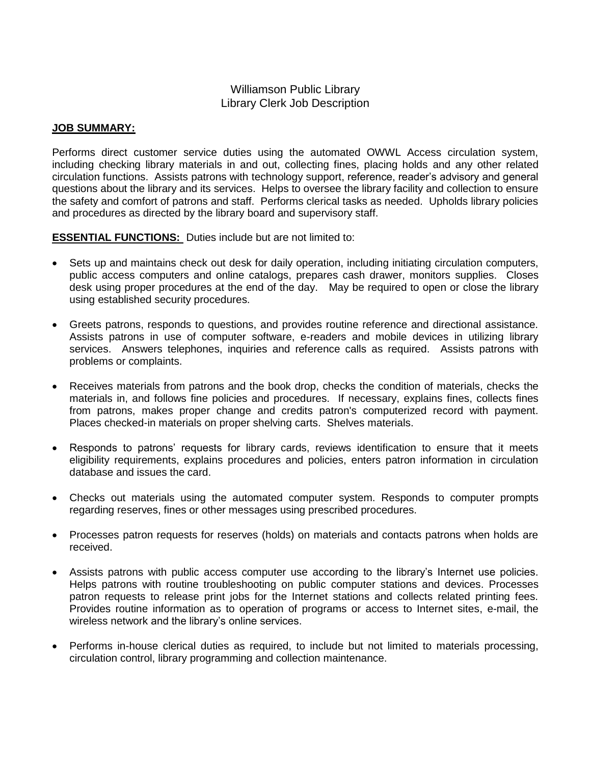# Williamson Public Library Library Clerk Job Description

### **JOB SUMMARY:**

Performs direct customer service duties using the automated OWWL Access circulation system, including checking library materials in and out, collecting fines, placing holds and any other related circulation functions. Assists patrons with technology support, reference, reader's advisory and general questions about the library and its services. Helps to oversee the library facility and collection to ensure the safety and comfort of patrons and staff. Performs clerical tasks as needed. Upholds library policies and procedures as directed by the library board and supervisory staff.

**ESSENTIAL FUNCTIONS:** Duties include but are not limited to:

- Sets up and maintains check out desk for daily operation, including initiating circulation computers, public access computers and online catalogs, prepares cash drawer, monitors supplies. Closes desk using proper procedures at the end of the day. May be required to open or close the library using established security procedures.
- Greets patrons, responds to questions, and provides routine reference and directional assistance. Assists patrons in use of computer software, e-readers and mobile devices in utilizing library services. Answers telephones, inquiries and reference calls as required. Assists patrons with problems or complaints.
- Receives materials from patrons and the book drop, checks the condition of materials, checks the materials in, and follows fine policies and procedures. If necessary, explains fines, collects fines from patrons, makes proper change and credits patron's computerized record with payment. Places checked-in materials on proper shelving carts. Shelves materials.
- Responds to patrons' requests for library cards, reviews identification to ensure that it meets eligibility requirements, explains procedures and policies, enters patron information in circulation database and issues the card.
- Checks out materials using the automated computer system. Responds to computer prompts regarding reserves, fines or other messages using prescribed procedures.
- Processes patron requests for reserves (holds) on materials and contacts patrons when holds are received.
- Assists patrons with public access computer use according to the library's Internet use policies. Helps patrons with routine troubleshooting on public computer stations and devices. Processes patron requests to release print jobs for the Internet stations and collects related printing fees. Provides routine information as to operation of programs or access to Internet sites, e-mail, the wireless network and the library's online services.
- Performs in-house clerical duties as required, to include but not limited to materials processing, circulation control, library programming and collection maintenance.